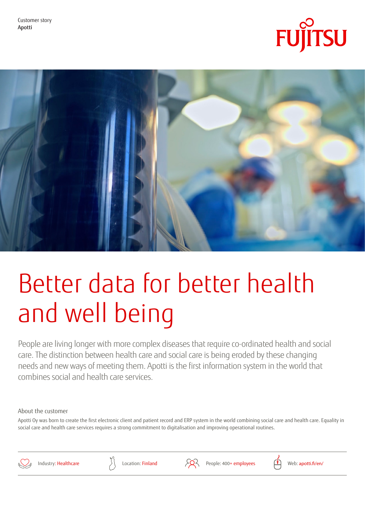



# Better data for better health and well being

People are living longer with more complex diseases that require co-ordinated health and social care. The distinction between health care and social care is being eroded by these changing needs and new ways of meeting them. Apotti is the first information system in the world that combines social and health care services.

## About the customer

Apotti Oy was born to create the first electronic client and patient record and ERP system in the world combining social care and health care. Equality in social care and health care services requires a strong commitment to digitalisation and improving operational routines.